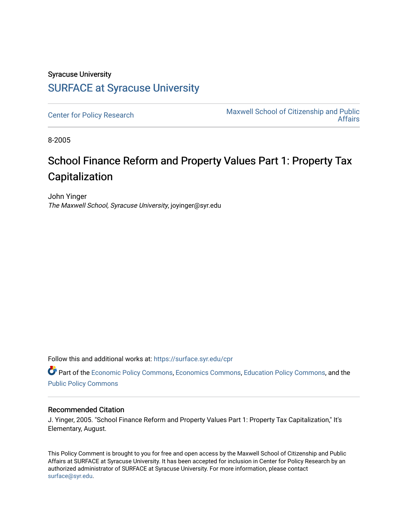## Syracuse University [SURFACE at Syracuse University](https://surface.syr.edu/)

[Center for Policy Research](https://surface.syr.edu/cpr) Maxwell School of Citizenship and Public [Affairs](https://surface.syr.edu/maxwell) 

8-2005

## School Finance Reform and Property Values Part 1: Property Tax Capitalization

John Yinger The Maxwell School, Syracuse University, joyinger@syr.edu

Follow this and additional works at: [https://surface.syr.edu/cpr](https://surface.syr.edu/cpr?utm_source=surface.syr.edu%2Fcpr%2F293&utm_medium=PDF&utm_campaign=PDFCoverPages) 

Part of the [Economic Policy Commons](http://network.bepress.com/hgg/discipline/1025?utm_source=surface.syr.edu%2Fcpr%2F293&utm_medium=PDF&utm_campaign=PDFCoverPages), [Economics Commons,](http://network.bepress.com/hgg/discipline/340?utm_source=surface.syr.edu%2Fcpr%2F293&utm_medium=PDF&utm_campaign=PDFCoverPages) [Education Policy Commons](http://network.bepress.com/hgg/discipline/1026?utm_source=surface.syr.edu%2Fcpr%2F293&utm_medium=PDF&utm_campaign=PDFCoverPages), and the [Public Policy Commons](http://network.bepress.com/hgg/discipline/400?utm_source=surface.syr.edu%2Fcpr%2F293&utm_medium=PDF&utm_campaign=PDFCoverPages)

## Recommended Citation

J. Yinger, 2005. "School Finance Reform and Property Values Part 1: Property Tax Capitalization," It's Elementary, August.

This Policy Comment is brought to you for free and open access by the Maxwell School of Citizenship and Public Affairs at SURFACE at Syracuse University. It has been accepted for inclusion in Center for Policy Research by an authorized administrator of SURFACE at Syracuse University. For more information, please contact [surface@syr.edu.](mailto:surface@syr.edu)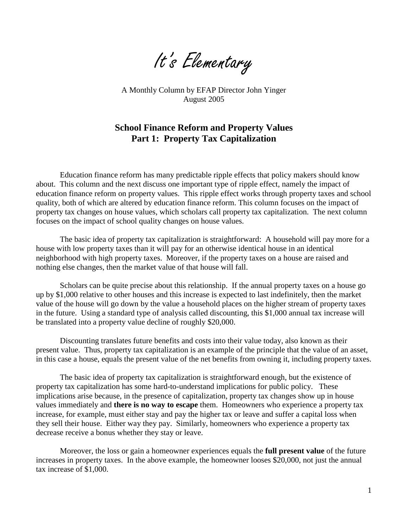It's Elementary

A Monthly Column by EFAP Director John Yinger August 2005

## **School Finance Reform and Property Values Part 1: Property Tax Capitalization**

 Education finance reform has many predictable ripple effects that policy makers should know about. This column and the next discuss one important type of ripple effect, namely the impact of education finance reform on property values. This ripple effect works through property taxes and school quality, both of which are altered by education finance reform. This column focuses on the impact of property tax changes on house values, which scholars call property tax capitalization. The next column focuses on the impact of school quality changes on house values.

The basic idea of property tax capitalization is straightforward: A household will pay more for a house with low property taxes than it will pay for an otherwise identical house in an identical neighborhood with high property taxes. Moreover, if the property taxes on a house are raised and nothing else changes, then the market value of that house will fall.

 Scholars can be quite precise about this relationship. If the annual property taxes on a house go up by \$1,000 relative to other houses and this increase is expected to last indefinitely, then the market value of the house will go down by the value a household places on the higher stream of property taxes in the future. Using a standard type of analysis called discounting, this \$1,000 annual tax increase will be translated into a property value decline of roughly \$20,000.

Discounting translates future benefits and costs into their value today, also known as their present value. Thus, property tax capitalization is an example of the principle that the value of an asset, in this case a house, equals the present value of the net benefits from owning it, including property taxes.

The basic idea of property tax capitalization is straightforward enough, but the existence of property tax capitalization has some hard-to-understand implications for public policy. These implications arise because, in the presence of capitalization, property tax changes show up in house values immediately and **there is no way to escape** them. Homeowners who experience a property tax increase, for example, must either stay and pay the higher tax or leave and suffer a capital loss when they sell their house. Either way they pay. Similarly, homeowners who experience a property tax decrease receive a bonus whether they stay or leave.

Moreover, the loss or gain a homeowner experiences equals the **full present value** of the future increases in property taxes. In the above example, the homeowner looses \$20,000, not just the annual tax increase of \$1,000.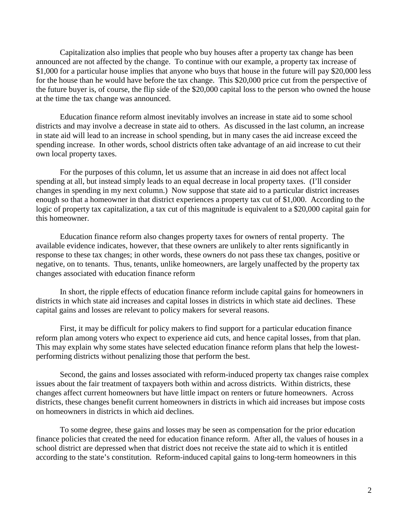Capitalization also implies that people who buy houses after a property tax change has been announced are not affected by the change. To continue with our example, a property tax increase of \$1,000 for a particular house implies that anyone who buys that house in the future will pay \$20,000 less for the house than he would have before the tax change. This \$20,000 price cut from the perspective of the future buyer is, of course, the flip side of the \$20,000 capital loss to the person who owned the house at the time the tax change was announced.

Education finance reform almost inevitably involves an increase in state aid to some school districts and may involve a decrease in state aid to others. As discussed in the last column, an increase in state aid will lead to an increase in school spending, but in many cases the aid increase exceed the spending increase. In other words, school districts often take advantage of an aid increase to cut their own local property taxes.

For the purposes of this column, let us assume that an increase in aid does not affect local spending at all, but instead simply leads to an equal decrease in local property taxes. (I'll consider changes in spending in my next column.) Now suppose that state aid to a particular district increases enough so that a homeowner in that district experiences a property tax cut of \$1,000. According to the logic of property tax capitalization, a tax cut of this magnitude is equivalent to a \$20,000 capital gain for this homeowner.

Education finance reform also changes property taxes for owners of rental property. The available evidence indicates, however, that these owners are unlikely to alter rents significantly in response to these tax changes; in other words, these owners do not pass these tax changes, positive or negative, on to tenants. Thus, tenants, unlike homeowners, are largely unaffected by the property tax changes associated with education finance reform

In short, the ripple effects of education finance reform include capital gains for homeowners in districts in which state aid increases and capital losses in districts in which state aid declines. These capital gains and losses are relevant to policy makers for several reasons.

First, it may be difficult for policy makers to find support for a particular education finance reform plan among voters who expect to experience aid cuts, and hence capital losses, from that plan. This may explain why some states have selected education finance reform plans that help the lowestperforming districts without penalizing those that perform the best.

Second, the gains and losses associated with reform-induced property tax changes raise complex issues about the fair treatment of taxpayers both within and across districts. Within districts, these changes affect current homeowners but have little impact on renters or future homeowners. Across districts, these changes benefit current homeowners in districts in which aid increases but impose costs on homeowners in districts in which aid declines.

To some degree, these gains and losses may be seen as compensation for the prior education finance policies that created the need for education finance reform. After all, the values of houses in a school district are depressed when that district does not receive the state aid to which it is entitled according to the state's constitution. Reform-induced capital gains to long-term homeowners in this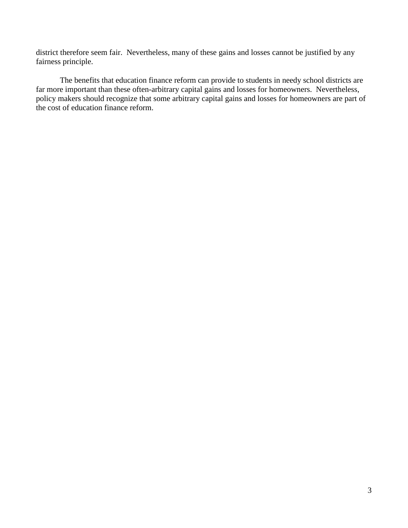district therefore seem fair. Nevertheless, many of these gains and losses cannot be justified by any fairness principle.

The benefits that education finance reform can provide to students in needy school districts are far more important than these often-arbitrary capital gains and losses for homeowners. Nevertheless, policy makers should recognize that some arbitrary capital gains and losses for homeowners are part of the cost of education finance reform.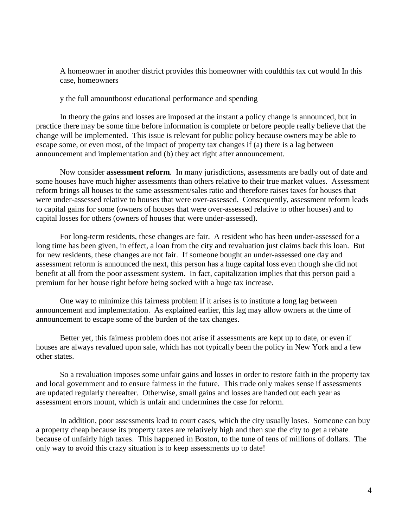A homeowner in another district provides this homeowner with couldthis tax cut would In this case, homeowners

y the full amountboost educational performance and spending

In theory the gains and losses are imposed at the instant a policy change is announced, but in practice there may be some time before information is complete or before people really believe that the change will be implemented. This issue is relevant for public policy because owners may be able to escape some, or even most, of the impact of property tax changes if (a) there is a lag between announcement and implementation and (b) they act right after announcement.

Now consider **assessment reform**. In many jurisdictions, assessments are badly out of date and some houses have much higher assessments than others relative to their true market values. Assessment reform brings all houses to the same assessment/sales ratio and therefore raises taxes for houses that were under-assessed relative to houses that were over-assessed. Consequently, assessment reform leads to capital gains for some (owners of houses that were over-assessed relative to other houses) and to capital losses for others (owners of houses that were under-assessed).

For long-term residents, these changes are fair. A resident who has been under-assessed for a long time has been given, in effect, a loan from the city and revaluation just claims back this loan. But for new residents, these changes are not fair. If someone bought an under-assessed one day and assessment reform is announced the next, this person has a huge capital loss even though she did not benefit at all from the poor assessment system. In fact, capitalization implies that this person paid a premium for her house right before being socked with a huge tax increase.

One way to minimize this fairness problem if it arises is to institute a long lag between announcement and implementation. As explained earlier, this lag may allow owners at the time of announcement to escape some of the burden of the tax changes.

Better yet, this fairness problem does not arise if assessments are kept up to date, or even if houses are always revalued upon sale, which has not typically been the policy in New York and a few other states.

So a revaluation imposes some unfair gains and losses in order to restore faith in the property tax and local government and to ensure fairness in the future. This trade only makes sense if assessments are updated regularly thereafter. Otherwise, small gains and losses are handed out each year as assessment errors mount, which is unfair and undermines the case for reform.

In addition, poor assessments lead to court cases, which the city usually loses. Someone can buy a property cheap because its property taxes are relatively high and then sue the city to get a rebate because of unfairly high taxes. This happened in Boston, to the tune of tens of millions of dollars. The only way to avoid this crazy situation is to keep assessments up to date!